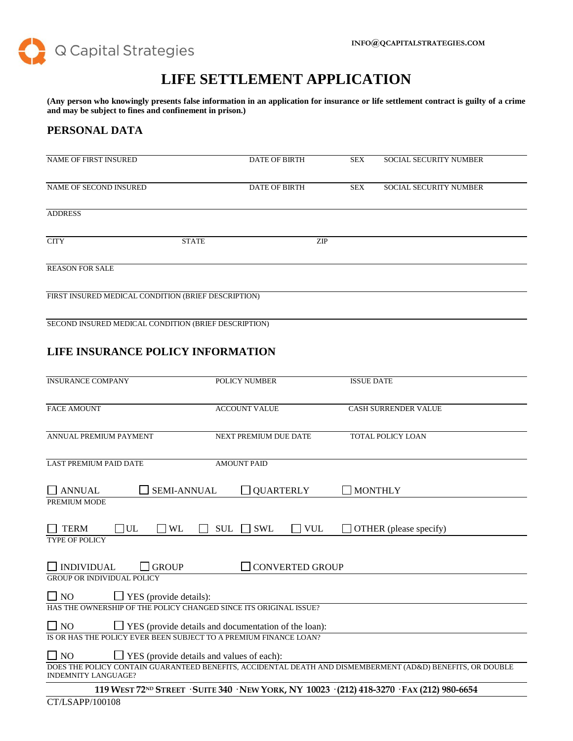

## **LIFE SETTLEMENT APPLICATION**

**(Any person who knowingly presents false information in an application for insurance or life settlement contract is guilty of a crime and may be subject to fines and confinement in prison.)**

#### **PERSONAL DATA**

| <b>NAME OF FIRST INSURED</b>                        |              | <b>DATE OF BIRTH</b> | SEX        | <b>SOCIAL SECURITY NUMBER</b> |
|-----------------------------------------------------|--------------|----------------------|------------|-------------------------------|
| NAME OF SECOND INSURED                              |              | <b>DATE OF BIRTH</b> | <b>SEX</b> | <b>SOCIAL SECURITY NUMBER</b> |
| <b>ADDRESS</b>                                      |              |                      |            |                               |
| <b>CITY</b>                                         | <b>STATE</b> |                      | <b>ZIP</b> |                               |
| <b>REASON FOR SALE</b>                              |              |                      |            |                               |
| FIRST INSURED MEDICAL CONDITION (BRIEF DESCRIPTION) |              |                      |            |                               |

SECOND INSURED MEDICAL CONDITION (BRIEF DESCRIPTION)

## **LIFE INSURANCE POLICY INFORMATION**

| <b>INSURANCE COMPANY</b>                                                 | POLICY NUMBER                     | <b>ISSUE DATE</b>                                                                                          |  |
|--------------------------------------------------------------------------|-----------------------------------|------------------------------------------------------------------------------------------------------------|--|
| <b>FACE AMOUNT</b>                                                       | <b>ACCOUNT VALUE</b>              | <b>CASH SURRENDER VALUE</b>                                                                                |  |
| ANNUAL PREMIUM PAYMENT                                                   | NEXT PREMIUM DUE DATE             | TOTAL POLICY LOAN                                                                                          |  |
| <b>LAST PREMIUM PAID DATE</b>                                            | <b>AMOUNT PAID</b>                |                                                                                                            |  |
| <b>SEMI-ANNUAL</b><br><b>ANNUAL</b>                                      | <b>QUARTERLY</b>                  | <b>MONTHLY</b>                                                                                             |  |
| PREMIUM MODE                                                             |                                   |                                                                                                            |  |
| $\Box$ UL<br><b>TERM</b><br><b>WL</b>                                    | <b>SWL</b><br><b>SUL</b><br>  VUL | OTHER (please specify)                                                                                     |  |
| <b>TYPE OF POLICY</b>                                                    |                                   |                                                                                                            |  |
| <b>INDIVIDUAL</b><br><b>GROUP</b>                                        | <b>CONVERTED GROUP</b>            |                                                                                                            |  |
| <b>GROUP OR INDIVIDUAL POLICY</b>                                        |                                   |                                                                                                            |  |
| 1 NQ<br>$\Box$ YES (provide details):                                    |                                   |                                                                                                            |  |
| HAS THE OWNERSHIP OF THE POLICY CHANGED SINCE ITS ORIGINAL ISSUE?        |                                   |                                                                                                            |  |
| $\Box$ No<br>$\Box$ YES (provide details and documentation of the loan): |                                   |                                                                                                            |  |
| IS OR HAS THE POLICY EVER BEEN SUBJECT TO A PREMIUM FINANCE LOAN?        |                                   |                                                                                                            |  |
| $\Box$ NO<br>$\Box$ YES (provide details and values of each):            |                                   |                                                                                                            |  |
| <b>INDEMNITY LANGUAGE?</b>                                               |                                   | DOES THE POLICY CONTAIN GUARANTEED BENEFITS, ACCIDENTAL DEATH AND DISMEMBERMENT (AD&D) BENEFITS, OR DOUBLE |  |
|                                                                          |                                   | 119 WEST 72ND STREET · SUITE 340 · NEW YORK, NY 10023 · (212) 418-3270 · FAX (212) 980-6654                |  |
| CT/LSAPP/100108                                                          |                                   |                                                                                                            |  |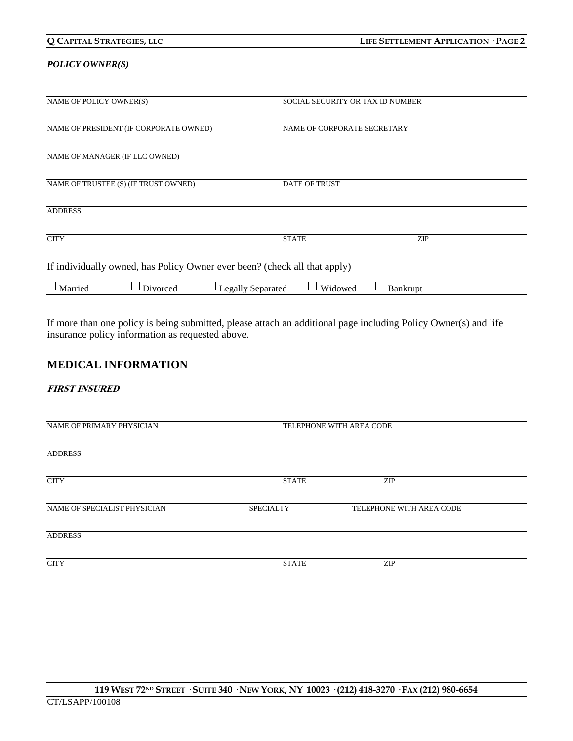| Q CAPITAL STRATEGIES, LLC                                                 | LIFE SETTLEMENT APPLICATION · PAGE 2 |                                  |
|---------------------------------------------------------------------------|--------------------------------------|----------------------------------|
| <b>POLICY OWNER(S)</b>                                                    |                                      |                                  |
| NAME OF POLICY OWNER(S)                                                   |                                      | SOCIAL SECURITY OR TAX ID NUMBER |
| NAME OF PRESIDENT (IF CORPORATE OWNED)                                    | NAME OF CORPORATE SECRETARY          |                                  |
| NAME OF MANAGER (IF LLC OWNED)                                            |                                      |                                  |
| NAME OF TRUSTEE (S) (IF TRUST OWNED)                                      | DATE OF TRUST                        |                                  |
| <b>ADDRESS</b>                                                            |                                      |                                  |
| <b>CITY</b>                                                               | <b>STATE</b>                         | ZIP                              |
| If individually owned, has Policy Owner ever been? (check all that apply) |                                      |                                  |

If more than one policy is being submitted, please attach an additional page including Policy Owner(s) and life insurance policy information as requested above.

 $\Box$  Married  $\Box$  Divorced  $\Box$  Legally Separated  $\Box$  Widowed  $\Box$  Bankrupt

#### **MEDICAL INFORMATION**

**FIRST INSURED**

| NAME OF PRIMARY PHYSICIAN    | TELEPHONE WITH AREA CODE |                          |  |
|------------------------------|--------------------------|--------------------------|--|
| <b>ADDRESS</b>               |                          |                          |  |
| <b>CITY</b>                  | <b>STATE</b>             | <b>ZIP</b>               |  |
| NAME OF SPECIALIST PHYSICIAN | <b>SPECIALTY</b>         | TELEPHONE WITH AREA CODE |  |
| <b>ADDRESS</b>               |                          |                          |  |
| <b>CITY</b>                  | <b>STATE</b>             | <b>ZIP</b>               |  |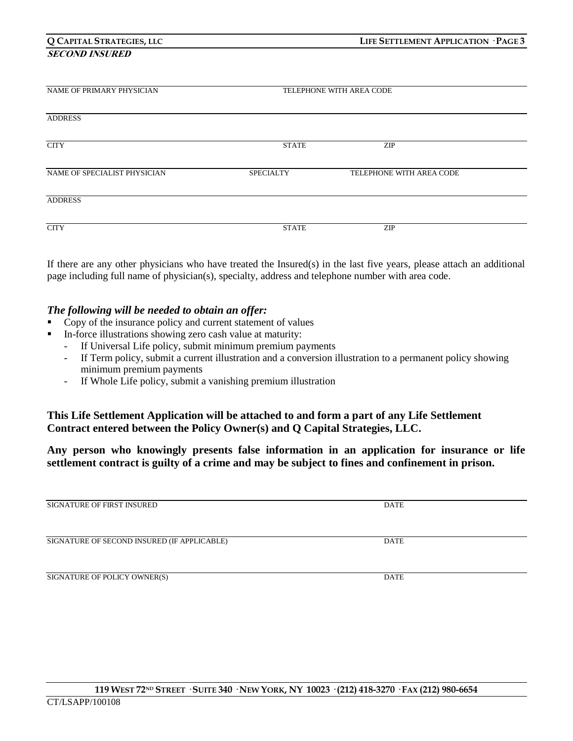# **SECOND INSURED**

| NAME OF PRIMARY PHYSICIAN    | TELEPHONE WITH AREA CODE |                          |  |
|------------------------------|--------------------------|--------------------------|--|
|                              |                          |                          |  |
| <b>ADDRESS</b>               |                          |                          |  |
| <b>CITY</b>                  | <b>STATE</b>             | <b>ZIP</b>               |  |
|                              |                          |                          |  |
| NAME OF SPECIALIST PHYSICIAN | <b>SPECIALTY</b>         | TELEPHONE WITH AREA CODE |  |
| <b>ADDRESS</b>               |                          |                          |  |
|                              |                          |                          |  |
| <b>CITY</b>                  | <b>STATE</b>             | <b>ZIP</b>               |  |

If there are any other physicians who have treated the Insured(s) in the last five years, please attach an additional page including full name of physician(s), specialty, address and telephone number with area code.

## *The following will be needed to obtain an offer:*

- Copy of the insurance policy and current statement of values
- In-force illustrations showing zero cash value at maturity:
	- If Universal Life policy, submit minimum premium payments
	- If Term policy, submit a current illustration and a conversion illustration to a permanent policy showing minimum premium payments
	- If Whole Life policy, submit a vanishing premium illustration

## **This Life Settlement Application will be attached to and form a part of any Life Settlement Contract entered between the Policy Owner(s) and Q Capital Strategies, LLC.**

**Any person who knowingly presents false information in an application for insurance or life settlement contract is guilty of a crime and may be subject to fines and confinement in prison.**

| <b>SIGNATURE OF FIRST INSURED</b>           | <b>DATE</b> |  |
|---------------------------------------------|-------------|--|
|                                             |             |  |
|                                             |             |  |
|                                             |             |  |
|                                             |             |  |
| SIGNATURE OF SECOND INSURED (IF APPLICABLE) | <b>DATE</b> |  |
|                                             |             |  |
|                                             |             |  |
|                                             |             |  |
|                                             |             |  |
| SIGNATURE OF POLICY OWNER(S)                | <b>DATE</b> |  |
|                                             |             |  |
|                                             |             |  |
|                                             |             |  |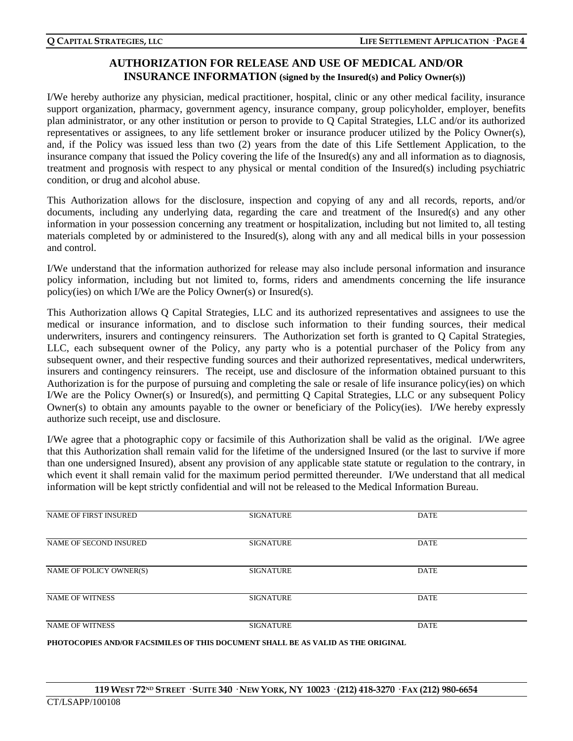## **AUTHORIZATION FOR RELEASE AND USE OF MEDICAL AND/OR INSURANCE INFORMATION (signed by the Insured(s) and Policy Owner(s))**

I/We hereby authorize any physician, medical practitioner, hospital, clinic or any other medical facility, insurance support organization, pharmacy, government agency, insurance company, group policyholder, employer, benefits plan administrator, or any other institution or person to provide to Q Capital Strategies, LLC and/or its authorized representatives or assignees, to any life settlement broker or insurance producer utilized by the Policy Owner(s), and, if the Policy was issued less than two (2) years from the date of this Life Settlement Application, to the insurance company that issued the Policy covering the life of the Insured(s) any and all information as to diagnosis, treatment and prognosis with respect to any physical or mental condition of the Insured(s) including psychiatric condition, or drug and alcohol abuse.

This Authorization allows for the disclosure, inspection and copying of any and all records, reports, and/or documents, including any underlying data, regarding the care and treatment of the Insured(s) and any other information in your possession concerning any treatment or hospitalization, including but not limited to, all testing materials completed by or administered to the Insured(s), along with any and all medical bills in your possession and control.

I/We understand that the information authorized for release may also include personal information and insurance policy information, including but not limited to, forms, riders and amendments concerning the life insurance policy(ies) on which I/We are the Policy Owner(s) or Insured(s).

This Authorization allows Q Capital Strategies, LLC and its authorized representatives and assignees to use the medical or insurance information, and to disclose such information to their funding sources, their medical underwriters, insurers and contingency reinsurers. The Authorization set forth is granted to Q Capital Strategies, LLC, each subsequent owner of the Policy, any party who is a potential purchaser of the Policy from any subsequent owner, and their respective funding sources and their authorized representatives, medical underwriters, insurers and contingency reinsurers. The receipt, use and disclosure of the information obtained pursuant to this Authorization is for the purpose of pursuing and completing the sale or resale of life insurance policy(ies) on which I/We are the Policy Owner(s) or Insured(s), and permitting Q Capital Strategies, LLC or any subsequent Policy Owner(s) to obtain any amounts payable to the owner or beneficiary of the Policy(ies). I/We hereby expressly authorize such receipt, use and disclosure.

I/We agree that a photographic copy or facsimile of this Authorization shall be valid as the original. I/We agree that this Authorization shall remain valid for the lifetime of the undersigned Insured (or the last to survive if more than one undersigned Insured), absent any provision of any applicable state statute or regulation to the contrary, in which event it shall remain valid for the maximum period permitted thereunder. I/We understand that all medical information will be kept strictly confidential and will not be released to the Medical Information Bureau.

| <b>NAME OF FIRST INSURED</b> | <b>SIGNATURE</b> | <b>DATE</b> |  |
|------------------------------|------------------|-------------|--|
| NAME OF SECOND INSURED       | <b>SIGNATURE</b> | <b>DATE</b> |  |
| NAME OF POLICY OWNER(S)      | <b>SIGNATURE</b> | <b>DATE</b> |  |
| <b>NAME OF WITNESS</b>       | <b>SIGNATURE</b> | <b>DATE</b> |  |
| <b>NAME OF WITNESS</b>       | <b>SIGNATURE</b> | <b>DATE</b> |  |

**PHOTOCOPIES AND/OR FACSIMILES OF THIS DOCUMENT SHALL BE AS VALID AS THE ORIGINAL**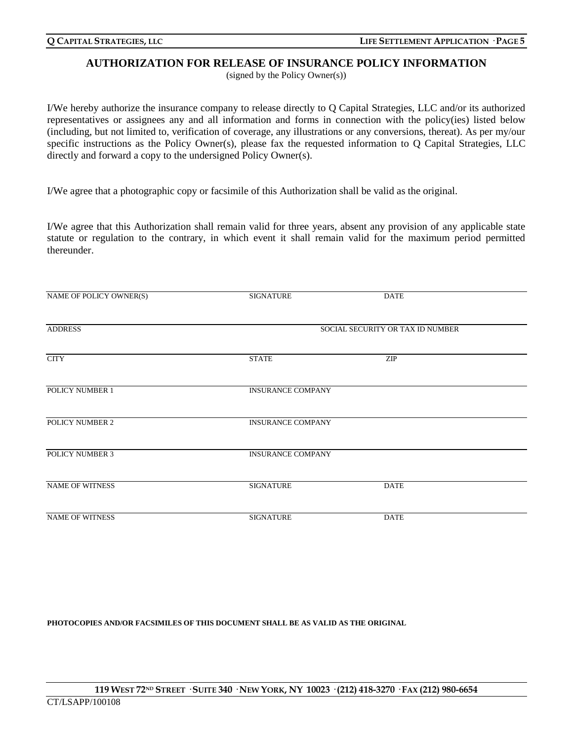#### **AUTHORIZATION FOR RELEASE OF INSURANCE POLICY INFORMATION**

(signed by the Policy Owner(s))

I/We hereby authorize the insurance company to release directly to Q Capital Strategies, LLC and/or its authorized representatives or assignees any and all information and forms in connection with the policy(ies) listed below (including, but not limited to, verification of coverage, any illustrations or any conversions, thereat). As per my/our specific instructions as the Policy Owner(s), please fax the requested information to Q Capital Strategies, LLC directly and forward a copy to the undersigned Policy Owner(s).

I/We agree that a photographic copy or facsimile of this Authorization shall be valid as the original.

I/We agree that this Authorization shall remain valid for three years, absent any provision of any applicable state statute or regulation to the contrary, in which event it shall remain valid for the maximum period permitted thereunder.

| NAME OF POLICY OWNER(S) | <b>SIGNATURE</b>         | <b>DATE</b>                      |  |
|-------------------------|--------------------------|----------------------------------|--|
| <b>ADDRESS</b>          |                          | SOCIAL SECURITY OR TAX ID NUMBER |  |
| <b>CITY</b>             | <b>STATE</b>             | <b>ZIP</b>                       |  |
| POLICY NUMBER 1         | <b>INSURANCE COMPANY</b> |                                  |  |
| POLICY NUMBER 2         | <b>INSURANCE COMPANY</b> |                                  |  |
| <b>POLICY NUMBER 3</b>  | <b>INSURANCE COMPANY</b> |                                  |  |
| <b>NAME OF WITNESS</b>  | <b>SIGNATURE</b>         | <b>DATE</b>                      |  |
| <b>NAME OF WITNESS</b>  | <b>SIGNATURE</b>         | <b>DATE</b>                      |  |

#### **PHOTOCOPIES AND/OR FACSIMILES OF THIS DOCUMENT SHALL BE AS VALID AS THE ORIGINAL**